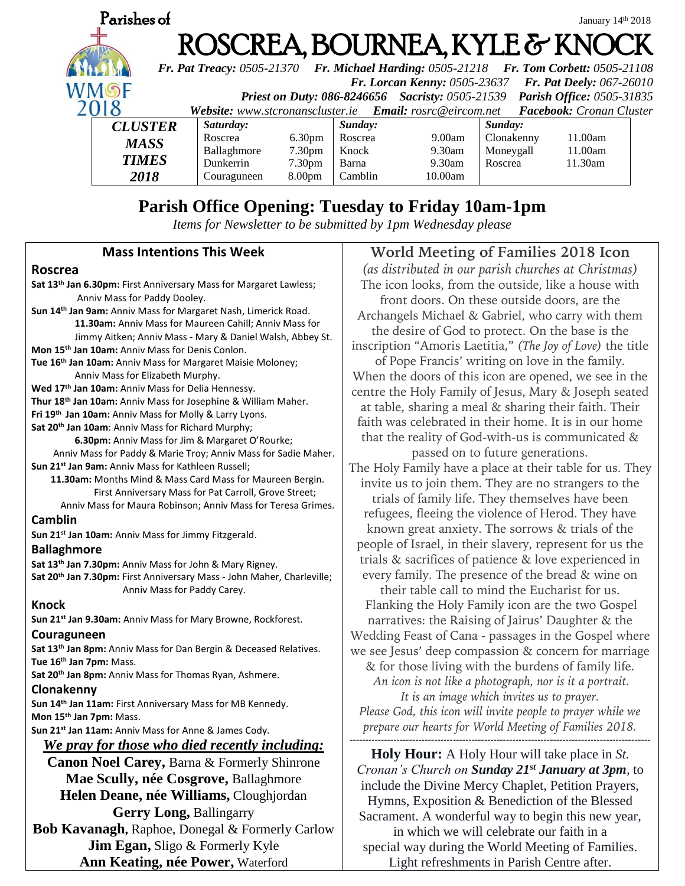

# **Parish Office Opening: Tuesday to Friday 10am-1pm**

*Items for Newsletter to be submitted by 1pm Wednesday please*

### **Mass Intentions This Week**

### **Roscrea**

**Sat 13th Jan 6.30pm:** First Anniversary Mass for Margaret Lawless; Anniv Mass for Paddy Dooley. **Sun 14th Jan 9am:** Anniv Mass for Margaret Nash, Limerick Road.  **11.30am:** Anniv Mass for Maureen Cahill; Anniv Mass for Jimmy Aitken; Anniv Mass - Mary & Daniel Walsh, Abbey St. **Mon 15th Jan 10am:** Anniv Mass for Denis Conlon. **Tue 16th Jan 10am:** Anniv Mass for Margaret Maisie Moloney; Anniv Mass for Elizabeth Murphy. **Wed 17th Jan 10am:** Anniv Mass for Delia Hennessy. **Thur 18th Jan 10am:** Anniv Mass for Josephine & William Maher. **Fri 19th Jan 10am:** Anniv Mass for Molly & Larry Lyons. **Sat 20th Jan 10am**: Anniv Mass for Richard Murphy;  **6.30pm:** Anniv Mass for Jim & Margaret O'Rourke; Anniv Mass for Paddy & Marie Troy; Anniv Mass for Sadie Maher. **Sun 21st Jan 9am:** Anniv Mass for Kathleen Russell;  **11.30am:** Months Mind & Mass Card Mass for Maureen Bergin. First Anniversary Mass for Pat Carroll, Grove Street; Anniv Mass for Maura Robinson; Anniv Mass for Teresa Grimes. **Camblin Sun 21st Jan 10am:** Anniv Mass for Jimmy Fitzgerald. **Ballaghmore Sat 13th Jan 7.30pm:** Anniv Mass for John & Mary Rigney. **Sat 20th Jan 7.30pm:** First Anniversary Mass - John Maher, Charleville; Anniv Mass for Paddy Carey. **Knock Sun 21st Jan 9.30am:** Anniv Mass for Mary Browne, Rockforest. **Couraguneen Sat 13th Jan 8pm:** Anniv Mass for Dan Bergin & Deceased Relatives. **Tue 16th Jan 7pm:** Mass. **Sat 20th Jan 8pm:** Anniv Mass for Thomas Ryan, Ashmere. **Clonakenny Sun 14th Jan 11am:** First Anniversary Mass for MB Kennedy. **Mon 15th Jan 7pm:** Mass. **Sun 21st Jan 11am:** Anniv Mass for Anne & James Cody. *We pray for those who died recently including:* **Canon Noel Carey,** Barna & Formerly Shinrone **Mae Scully, née Cosgrove,** Ballaghmore **Helen Deane, née Williams,** Cloughjordan **Gerry Long,** Ballingarry

## **Bob Kavanagh,** Raphoe, Donegal & Formerly Carlow **Jim Egan,** Sligo & Formerly Kyle **Ann Keating, née Power,** Waterford

## **World Meeting of Families 2018 Icon**

*(as distributed in our parish churches at Christmas)* The icon looks, from the outside, like a house with front doors. On these outside doors, are the Archangels Michael & Gabriel, who carry with them the desire of God to protect. On the base is the inscription "Amoris Laetitia," *(The Joy of Love)* the title of Pope Francis' writing on love in the family. When the doors of this icon are opened, we see in the centre the Holy Family of Jesus, Mary & Joseph seated at table, sharing a meal & sharing their faith. Their faith was celebrated in their home. It is in our home that the reality of God-with-us is communicated & passed on to future generations. The Holy Family have a place at their table for us. They invite us to join them. They are no strangers to the trials of family life. They themselves have been refugees, fleeing the violence of Herod. They have known great anxiety. The sorrows & trials of the people of Israel, in their slavery, represent for us the trials & sacrifices of patience & love experienced in every family. The presence of the bread & wine on their table call to mind the Eucharist for us. Flanking the Holy Family icon are the two Gospel narratives: the Raising of Jairus' Daughter & the Wedding Feast of Cana - passages in the Gospel where we see Jesus' deep compassion & concern for marriage & for those living with the burdens of family life. *An icon is not like a photograph, nor is it a portrait. It is an image which invites us to prayer. Please God, this icon will invite people to prayer while we prepare our hearts for World Meeting of Families 2018.* ------------------------------------------------------------------------------------------------

**Holy Hour:** A Holy Hour will take place in *St. Cronan's Church on Sunday 21st January at 3pm,* to include the Divine Mercy Chaplet, Petition Prayers, Hymns, Exposition & Benediction of the Blessed Sacrament. A wonderful way to begin this new year, in which we will celebrate our faith in a special way during the World Meeting of Families. Light refreshments in Parish Centre after.